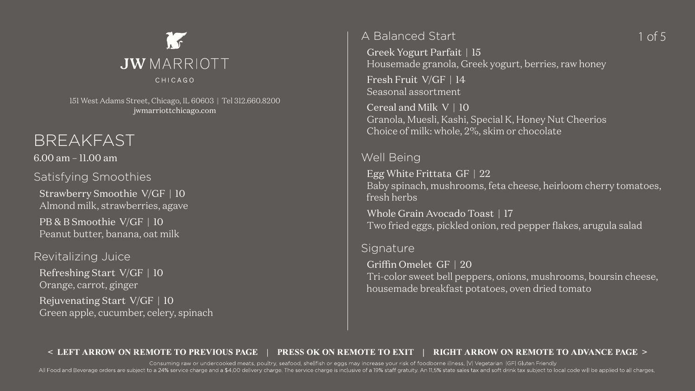## BREAKFAST

6.00 am – 11.00 am

Satisfying Smoothies

Strawberry Smoothie V/GF | 10 Almond milk, strawberries, agave

PB & B Smoothie V/GF | 10 Peanut butter, banana, oat milk

### Revitalizing Juice

Refreshing Start V/GF | 10 Orange, carrot, ginger Rejuvenating Start V/GF | 10 Green apple, cucumber, celery, spinach

## A Balanced Start

Greek Yogurt Parfait | 15

### Housemade granola, Greek yogurt, berries, raw honey

Fresh Fruit V/GF | 14 Seasonal assortment

Cereal and Milk V | 10 Granola, Muesli, Kashi, Special K, Honey Nut Cheerios Choice of milk: whole, 2%, skim or chocolate

### Well Being

Egg White Frittata GF | 22 Baby spinach, mushrooms, feta cheese, heirloom cherry tomatoes, fresh herbs

Whole Grain Avocado Toast | 17 Two fried eggs, pickled onion, red pepper flakes, arugula salad

All Food and Beverage orders are subject to a 24% service charge and a \$4.00 delivery charge. The service charge is inclusive of a 19% staff gratuity. An 11.5% state sales tax and soft drink tax subject to local code will Consuming raw or undercooked meats, poultry, seafood, shellfish or eggs may increase your risk of foodborne illness. |V| Vegetarian |GF| Gluten Friendly

### Signature

Griffin Omelet GF | 20 Tri-color sweet bell peppers, onions, mushrooms, boursin cheese, housemade breakfast potatoes, oven dried tomato

## 1 of 5



151 West Adams Street, Chicago, IL 60603 | Tel 312.660.8200 [jwmarriottchicago.com](http://jwmarriottchicago.com)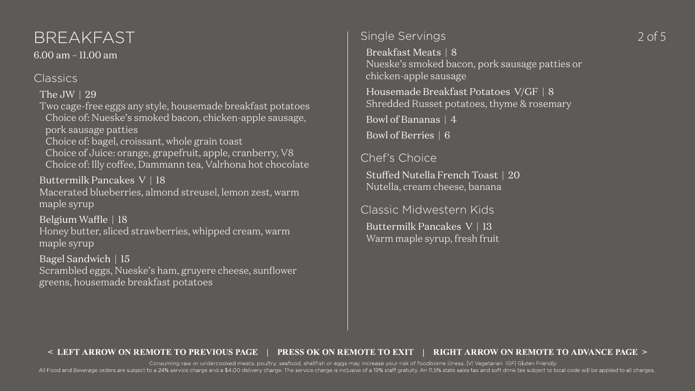### Single Servings

Breakfast Meats | 8 Nueske's smoked bacon, pork sausage patties or chicken-apple sausage

Housemade Breakfast Potatoes V/GF | 8 Shredded Russet potatoes, thyme & rosemary

Bowl of Bananas | 4

Bowl of Berries | 6

Chef's Choice

Stuffed Nutella French Toast | 20 Nutella, cream cheese, banana

Classic Midwestern Kids

Buttermilk Pancakes V | 13 Warm maple syrup, fresh fruit

# BREAKFAST Single Servings 2 of 5

6.00 am – 11.00 am

### Classics

The JW | 29

Two cage-free eggs any style, housemade breakfast potatoes Choice of: Nueske's smoked bacon, chicken-apple sausage,

pork sausage patties

Choice of: bagel, croissant, whole grain toast

Choice of Juice: orange, grapefruit, apple, cranberry, V8 Choice of: Illy coffee, Dammann tea, Valrhona hot chocolate

Buttermilk Pancakes V | 18

All Food and Beverage orders are subject to a 24% service charge and a \$4.00 delivery charge. The service charge is inclusive of a 19% staff gratuity. An 11.5% state sales tax and soft drink tax subject to local code will Consuming raw or undercooked meats, poultry, seafood, shellfish or eggs may increase your risk of foodborne illness. |V| Vegetarian |GF| Gluten Friendly

Macerated blueberries, almond streusel, lemon zest, warm maple syrup

Belgium Waffle | 18

Honey butter, sliced strawberries, whipped cream, warm maple syrup

Bagel Sandwich | 15

Scrambled eggs, Nueske's ham, gruyere cheese, sunflower greens, housemade breakfast potatoes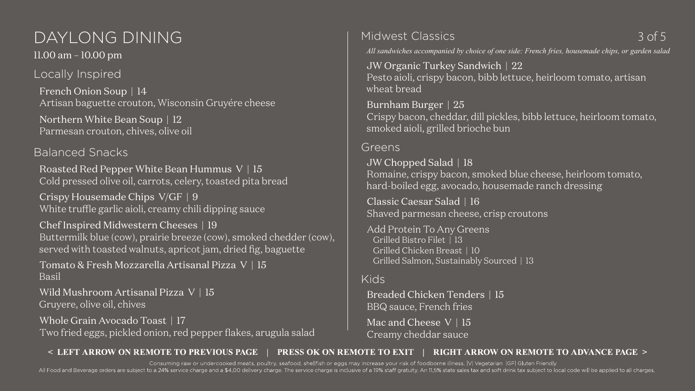# DAYLONG DINING 3 of 5

11.00 am – 10.00 pm

Locally Inspired

French Onion Soup | 14 Artisan baguette crouton, Wisconsin Gruyére cheese

Northern White Bean Soup | 12 Parmesan crouton, chives, olive oil

Balanced Snacks

Roasted Red Pepper White Bean Hummus V | 15 Cold pressed olive oil, carrots, celery, toasted pita bread

Wild Mushroom Artisanal Pizza V | 15 Gruyere, olive oil, chives

Crispy Housemade Chips V/GF | 9 White truffle garlic aioli, creamy chili dipping sauce

Chef Inspired Midwestern Cheeses | 19 Buttermilk blue (cow), prairie breeze (cow), smoked chedder (cow), served with toasted walnuts, apricot jam, dried fig, baguette

Tomato & Fresh Mozzarella Artisanal Pizza V | 15 Basil

Whole Grain Avocado Toast | 17

Breaded Chicken Tenders | 15 BBQ sauce, French fries Mac and Cheese V | 15

Two fried eggs, pickled onion, red pepper flakes, arugula salad

Midwest Classics

*All sandwiches accompanied by choice of one side: French fries, housemade chips, or garden salad* JW Organic Turkey Sandwich | 22 Pesto aioli, crispy bacon, bibb lettuce, heirloom tomato, artisan

wheat bread

All Food and Beverage orders are subject to a 24% service charge and a \$4.00 delivery charge. The service charge is inclusive of a 19% staff gratuity. An 11.5% state sales tax and soft drink tax subject to local code will Consuming raw or undercooked meats, poultry, seafood, shellfish or eggs may increase your risk of foodborne illness. |V| Vegetarian |GF| Gluten Friendly

Burnham Burger | 25 Crispy bacon, cheddar, dill pickles, bibb lettuce, heirloom tomato, smoked aioli, grilled brioche bun

Greens

JW Chopped Salad | 18 Romaine, crispy bacon, smoked blue cheese, heirloom tomato, hard-boiled egg, avocado, housemade ranch dressing

Classic Caesar Salad | 16 Shaved parmesan cheese, crisp croutons

Add Protein To Any Greens Grilled Bistro Filet | 13 Grilled Chicken Breast | 10 Grilled Salmon, Sustainably Sourced | 13

Kids

Creamy cheddar sauce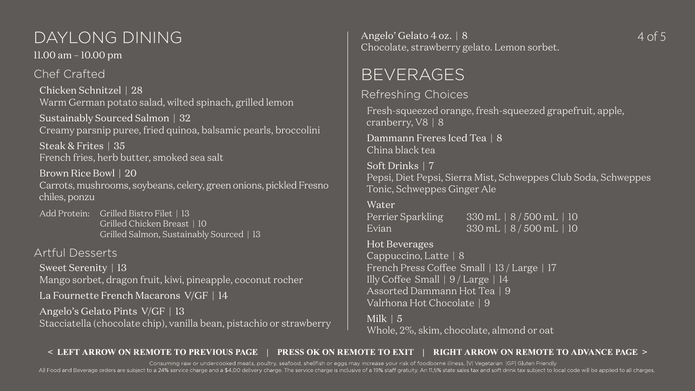# DAYLONG DINING Angelo' Gelato 4 oz. | 8 4 of 5

11.00 am – 10.00 pm

## Chef Crafted

Chicken Schnitzel | 28 Warm German potato salad, wilted spinach, grilled lemon

Sustainably Sourced Salmon | 32 Creamy parsnip puree, fried quinoa, balsamic pearls, broccolini

Add Protein: Grilled Bistro Filet | 13 Grilled Chicken Breast | 10 Grilled Salmon, Sustainably Sourced | 13

Steak & Frites | 35 French fries, herb butter, smoked sea salt

Sweet Serenity | 13 Mango sorbet, dragon fruit, kiwi, pineapple, coconut rocher

Brown Rice Bowl | 20

Carrots, mushrooms, soybeans, celery, green onions, pickled Fresno chiles, ponzu

Dammann Freres Iced Tea | 8 China black tea

### Artful Desserts

La Fournette French Macarons V/GF | 14

Angelo's Gelato Pints V/GF | 13

Stacciatella (chocolate chip), vanilla bean, pistachio or strawberry

Consuming raw or undercooked meats, poultry, seafood, shellfish or eggs may increase your risk of foodborne illness. |V| Vegetarian |GF| Gluten Friendly All Food and Beverage orders are subject to a 24% service charge and a \$4.00 delivery charge. The service charge is inclusive of a 19% staff gratuity. An 11.5% state sales tax and soft drink tax subject to local code will

Angelo' Gelato 4 oz. | 8 Chocolate, strawberry gelato. Lemon sorbet.

# BEVERAGES

Refreshing Choices

Fresh-squeezed orange, fresh-squeezed grapefruit, apple, cranberry, V8 | 8

```
Pepsi, Diet Pepsi, Sierra Mist, Schweppes Club Soda, Schweppes
```
Soft Drinks | 7 Tonic, Schweppes Ginger Ale

Water Perrier Sparkling 330 mL | 8 / 500 mL | 10 Evian 330 mL | 8 / 500 mL | 10

Hot Beverages Cappuccino, Latte | 8 French Press Coffee Small | 13 / Large | 17 Illy Coffee Small | 9 / Large | 14 Assorted Dammann Hot Tea | 9 Valrhona Hot Chocolate | 9

Milk | 5 Whole, 2%, skim, chocolate, almond or oat